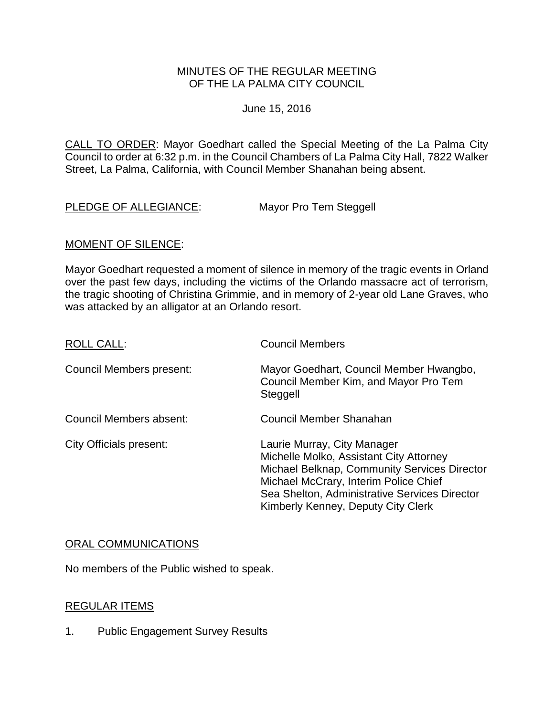## MINUTES OF THE REGULAR MEETING OF THE LA PALMA CITY COUNCIL

June 15, 2016

[CALL TO ORDER: Mayor Goedhart called the Special Meeting of the La Palma City](http://lapalma.granicus.com/MediaPlayer.php?view_id=&clip_id=1012&meta_id=134079)  [Council to order at 6:32 p.m. in the Council Chambers of La Palma City Hall, 7822 Walker](http://lapalma.granicus.com/MediaPlayer.php?view_id=&clip_id=1012&meta_id=134079)  [Street, La Palma, California, with Council Member Shanahan being absent.](http://lapalma.granicus.com/MediaPlayer.php?view_id=&clip_id=1012&meta_id=134079) 

[PLEDGE OF ALLEGIANCE: Mayor Pro Tem Steggell](http://lapalma.granicus.com/MediaPlayer.php?view_id=&clip_id=1012&meta_id=134080)

# MOMENT OF SILENCE:

Mayor Goedhart requested a moment of silence in memory of the tragic events in Orland over the past few days, including the victims of the Orlando massacre act of terrorism, the tragic shooting of Christina Grimmie, and in memory of 2-year old Lane Graves, who was attacked by an alligator at an Orlando resort.

| <b>ROLL CALL:</b>              | <b>Council Members</b>                                                                                                                                                                                                                                 |
|--------------------------------|--------------------------------------------------------------------------------------------------------------------------------------------------------------------------------------------------------------------------------------------------------|
| Council Members present:       | Mayor Goedhart, Council Member Hwangbo,<br>Council Member Kim, and Mayor Pro Tem<br>Steggell                                                                                                                                                           |
| Council Members absent:        | Council Member Shanahan                                                                                                                                                                                                                                |
| <b>City Officials present:</b> | Laurie Murray, City Manager<br>Michelle Molko, Assistant City Attorney<br>Michael Belknap, Community Services Director<br>Michael McCrary, Interim Police Chief<br>Sea Shelton, Administrative Services Director<br>Kimberly Kenney, Deputy City Clerk |

## [ORAL COMMUNICATIONS](http://lapalma.granicus.com/MediaPlayer.php?view_id=&clip_id=1012&meta_id=134082)

No members of the Public wished to speak.

## REGULAR ITEMS

1. [Public Engagement Survey Results](http://lapalma.granicus.com/MediaPlayer.php?view_id=&clip_id=1012&meta_id=134085)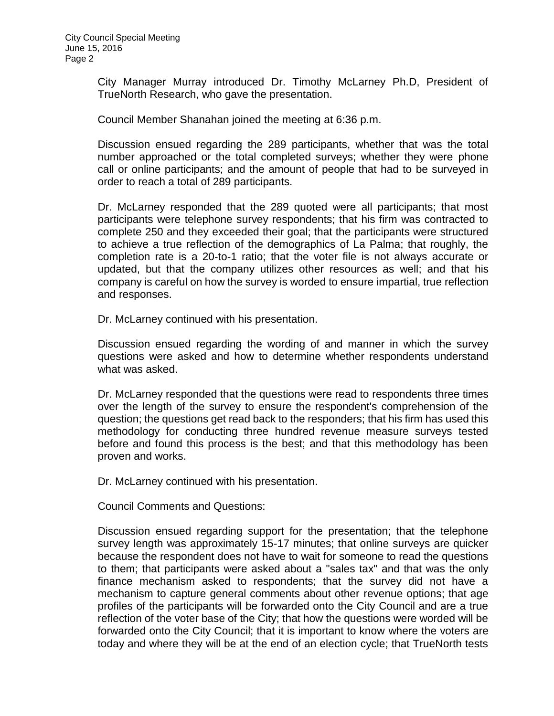City Manager Murray introduced Dr. Timothy McLarney Ph.D, President of TrueNorth Research, who gave the presentation.

Council Member Shanahan joined the meeting at 6:36 p.m.

Discussion ensued regarding the 289 participants, whether that was the total number approached or the total completed surveys; whether they were phone call or online participants; and the amount of people that had to be surveyed in order to reach a total of 289 participants.

Dr. McLarney responded that the 289 quoted were all participants; that most participants were telephone survey respondents; that his firm was contracted to complete 250 and they exceeded their goal; that the participants were structured to achieve a true reflection of the demographics of La Palma; that roughly, the completion rate is a 20-to-1 ratio; that the voter file is not always accurate or updated, but that the company utilizes other resources as well; and that his company is careful on how the survey is worded to ensure impartial, true reflection and responses.

Dr. McLarney continued with his presentation.

Discussion ensued regarding the wording of and manner in which the survey questions were asked and how to determine whether respondents understand what was asked.

Dr. McLarney responded that the questions were read to respondents three times over the length of the survey to ensure the respondent's comprehension of the question; the questions get read back to the responders; that his firm has used this methodology for conducting three hundred revenue measure surveys tested before and found this process is the best; and that this methodology has been proven and works.

Dr. McLarney continued with his presentation.

Council Comments and Questions:

Discussion ensued regarding support for the presentation; that the telephone survey length was approximately 15-17 minutes; that online surveys are quicker because the respondent does not have to wait for someone to read the questions to them; that participants were asked about a "sales tax" and that was the only finance mechanism asked to respondents; that the survey did not have a mechanism to capture general comments about other revenue options; that age profiles of the participants will be forwarded onto the City Council and are a true reflection of the voter base of the City; that how the questions were worded will be forwarded onto the City Council; that it is important to know where the voters are today and where they will be at the end of an election cycle; that TrueNorth tests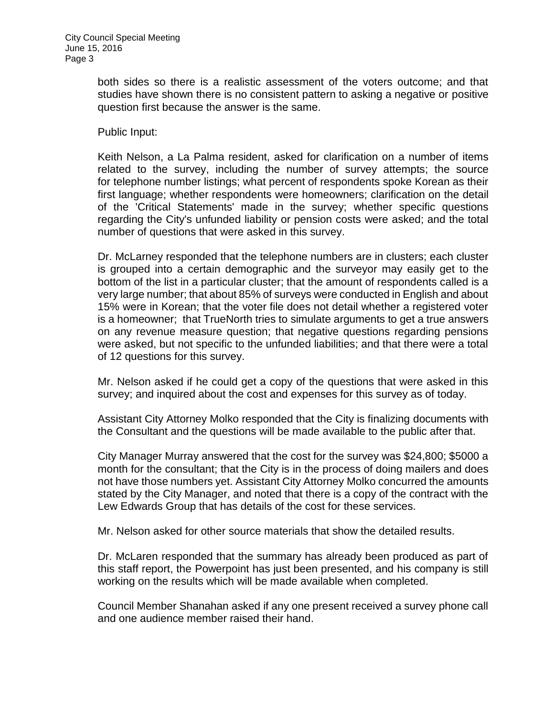both sides so there is a realistic assessment of the voters outcome; and that studies have shown there is no consistent pattern to asking a negative or positive question first because the answer is the same.

Public Input:

Keith Nelson, a La Palma resident, asked for clarification on a number of items related to the survey, including the number of survey attempts; the source for telephone number listings; what percent of respondents spoke Korean as their first language; whether respondents were homeowners; clarification on the detail of the 'Critical Statements' made in the survey; whether specific questions regarding the City's unfunded liability or pension costs were asked; and the total number of questions that were asked in this survey.

Dr. McLarney responded that the telephone numbers are in clusters; each cluster is grouped into a certain demographic and the surveyor may easily get to the bottom of the list in a particular cluster; that the amount of respondents called is a very large number; that about 85% of surveys were conducted in English and about 15% were in Korean; that the voter file does not detail whether a registered voter is a homeowner; that TrueNorth tries to simulate arguments to get a true answers on any revenue measure question; that negative questions regarding pensions were asked, but not specific to the unfunded liabilities; and that there were a total of 12 questions for this survey.

Mr. Nelson asked if he could get a copy of the questions that were asked in this survey; and inquired about the cost and expenses for this survey as of today.

Assistant City Attorney Molko responded that the City is finalizing documents with the Consultant and the questions will be made available to the public after that.

City Manager Murray answered that the cost for the survey was \$24,800; \$5000 a month for the consultant; that the City is in the process of doing mailers and does not have those numbers yet. Assistant City Attorney Molko concurred the amounts stated by the City Manager, and noted that there is a copy of the contract with the Lew Edwards Group that has details of the cost for these services.

Mr. Nelson asked for other source materials that show the detailed results.

Dr. McLaren responded that the summary has already been produced as part of this staff report, the Powerpoint has just been presented, and his company is still working on the results which will be made available when completed.

Council Member Shanahan asked if any one present received a survey phone call and one audience member raised their hand.